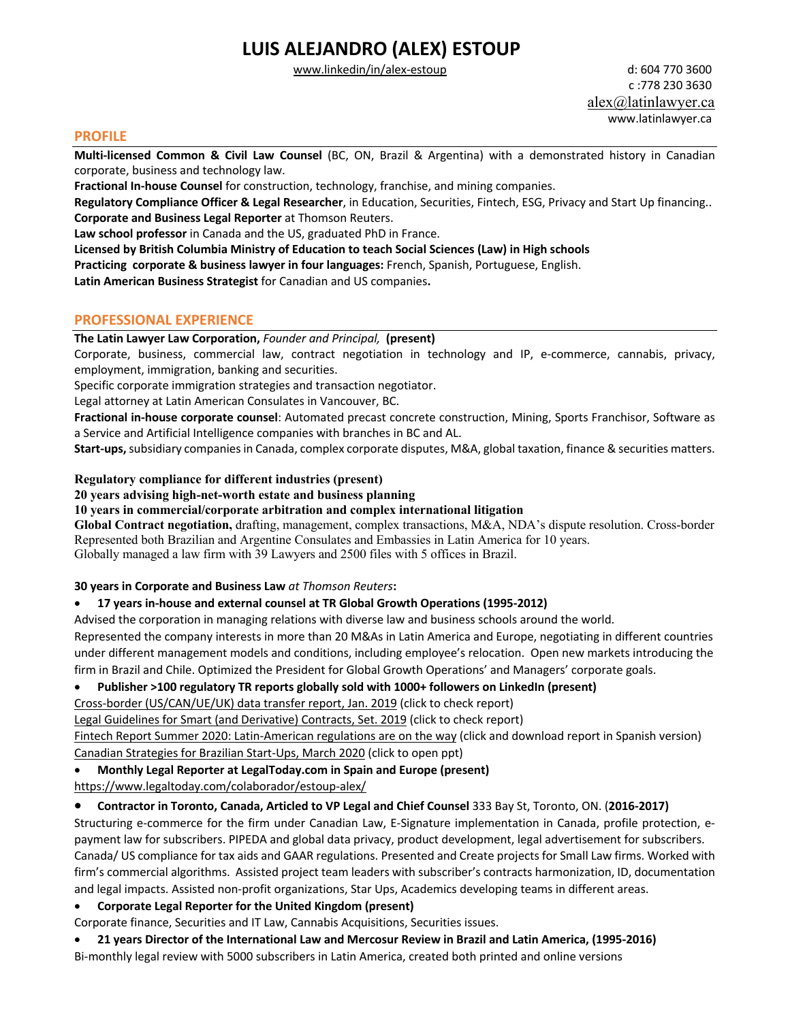# **LUIS ALEJANDRO (ALEX) ESTOUP**

www.linkedin/in/alex-estoup d: 604 770 3600

 c :778 230 3630 alex@latinlawyer.ca www.latinlawyer.ca

#### **PROFILE**

**Multi-licensed Common & Civil Law Counsel** (BC, ON, Brazil & Argentina) with a demonstrated history in Canadian corporate, business and technology law.

**Fractional In-house Counsel** for construction, technology, franchise, and mining companies.

**Regulatory Compliance Officer & Legal Researcher**, in Education, Securities, Fintech, ESG, Privacy and Start Up financing.. **Corporate and Business Legal Reporter** at Thomson Reuters.

**Law school professor** in Canada and the US, graduated PhD in France.

**Licensed by British Columbia Ministry of Education to teach Social Sciences (Law) in High schools**

**Practicing corporate & business lawyer in four languages:** French, Spanish, Portuguese, English.

**Latin American Business Strategist** for Canadian and US companies**.**

### **PROFESSIONAL EXPERIENCE**

**The Latin Lawyer Law Corporation,** *Founder and Principal,* **(present)**

Corporate, business, commercial law, contract negotiation in technology and IP, e-commerce, cannabis, privacy, employment, immigration, banking and securities.

Specific corporate immigration strategies and transaction negotiator.

Legal attorney at Latin American Consulates in Vancouver, BC.

**Fractional in-house corporate counsel**: Automated precast concrete construction, Mining, Sports Franchisor, Software as a Service and Artificial Intelligence companies with branches in BC and AL.

**Start-ups,**subsidiary companiesin Canada, complex corporate disputes, M&A, global taxation, finance & securities matters.

#### **Regulatory compliance for different industries (present)**

#### **20 years advising high-net-worth estate and business planning**

**10 years in commercial/corporate arbitration and complex international litigation**

**Global Contract negotiation,** drafting, management, complex transactions, M&A, NDA's dispute resolution. Cross-border Represented both Brazilian and Argentine Consulates and Embassies in Latin America for 10 years. Globally managed a law firm with 39 Lawyers and 2500 files with 5 offices in Brazil.

#### **30 years in Corporate and Business Law** *at Thomson Reuters***:**

#### • **17 years in-house and external counsel at TR Global Growth Operations (1995-2012)**

Advised the corporation in managing relations with diverse law and business schools around the world.

Represented the company interests in more than 20 M&As in Latin America and Europe, negotiating in different countries under different management models and conditions, including employee's relocation. Open new markets introducing the firm in Brazil and Chile. Optimized the President for Global Growth Operations' and Managers' corporate goals.

#### • **Publisher >100 regulatory TR reports globally sold with 1000+ followers on LinkedIn (present)**

Cross-border (US/CAN/UE/UK) data transfer report, Jan. 2019 (click to check report)

Legal Guidelines for Smart (and Derivative) Contracts, Set. 2019 (click to check report)

Fintech Report Summer 2020: Latin-American regulations are on the way (click and download report in Spanish version) Canadian Strategies for Brazilian Start-Ups, March 2020 (click to open ppt)

#### • **Monthly Legal Reporter at LegalToday.com in Spain and Europe (present)**

https://www.legaltoday.com/colaborador/estoup-alex/

#### • **Contractor in Toronto, Canada, Articled to VP Legal and Chief Counsel** 333 Bay St, Toronto, ON. (**2016-2017)**

Structuring e-commerce for the firm under Canadian Law, E-Signature implementation in Canada, profile protection, epayment law for subscribers. PIPEDA and global data privacy, product development, legal advertisement for subscribers. Canada/ US compliance for tax aids and GAAR regulations. Presented and Create projects for Small Law firms. Worked with firm's commercial algorithms. Assisted project team leaders with subscriber's contracts harmonization, ID, documentation and legal impacts. Assisted non-profit organizations, Star Ups, Academics developing teams in different areas.

### • **Corporate Legal Reporter for the United Kingdom (present)**

Corporate finance, Securities and IT Law, Cannabis Acquisitions, Securities issues.

• **21 years Director of the International Law and Mercosur Review in Brazil and Latin America, (1995-2016)**

Bi-monthly legal review with 5000 subscribers in Latin America, created both printed and online versions